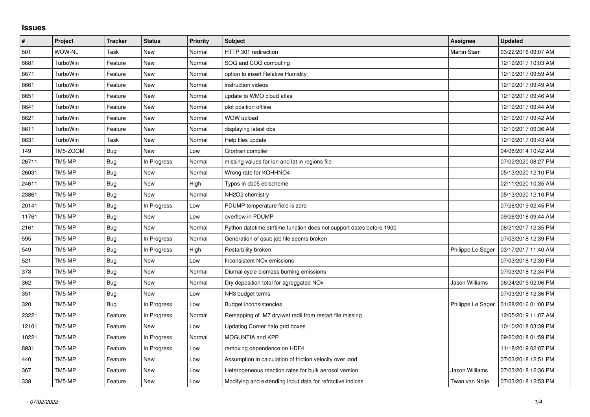## **Issues**

| $\vert$ # | Project         | <b>Tracker</b> | <b>Status</b> | Priority | <b>Subject</b>                                                       | <b>Assignee</b>   | <b>Updated</b>      |
|-----------|-----------------|----------------|---------------|----------|----------------------------------------------------------------------|-------------------|---------------------|
| 501       | <b>WOW-NL</b>   | Task           | <b>New</b>    | Normal   | HTTP 301 redirection                                                 | Martin Stam       | 03/22/2016 09:07 AM |
| 8681      | TurboWin        | Feature        | <b>New</b>    | Normal   | SOG and COG computing                                                |                   | 12/19/2017 10:03 AM |
| 8671      | TurboWin        | Feature        | <b>New</b>    | Normal   | option to insert Relative Humidity                                   |                   | 12/19/2017 09:59 AM |
| 8661      | TurboWin        | Feature        | <b>New</b>    | Normal   | instruction videos                                                   |                   | 12/19/2017 09:49 AM |
| 8651      | <b>TurboWin</b> | Feature        | New           | Normal   | update to WMO cloud atlas                                            |                   | 12/19/2017 09:46 AM |
| 8641      | TurboWin        | Feature        | <b>New</b>    | Normal   | plot position offline                                                |                   | 12/19/2017 09:44 AM |
| 8621      | TurboWin        | Feature        | New           | Normal   | WOW upload                                                           |                   | 12/19/2017 09:42 AM |
| 8611      | <b>TurboWin</b> | Feature        | <b>New</b>    | Normal   | displaying latest obs                                                |                   | 12/19/2017 09:36 AM |
| 8631      | TurboWin        | Task           | New           | Normal   | Help files update                                                    |                   | 12/19/2017 09:43 AM |
| 149       | TM5-ZOOM        | <b>Bug</b>     | <b>New</b>    | Low      | Gfortran compiler                                                    |                   | 04/08/2014 10:42 AM |
| 26711     | TM5-MP          | Bug            | In Progress   | Normal   | missing values for lon and lat in regions file                       |                   | 07/02/2020 08:27 PM |
| 26031     | TM5-MP          | <b>Bug</b>     | New           | Normal   | Wrong rate for KOHHNO4                                               |                   | 05/13/2020 12:10 PM |
| 24611     | TM5-MP          | <b>Bug</b>     | New           | High     | Typos in cb05 ebischeme                                              |                   | 02/11/2020 10:35 AM |
| 23861     | TM5-MP          | Bug            | <b>New</b>    | Normal   | NH <sub>2</sub> O <sub>2</sub> chemistry                             |                   | 05/13/2020 12:10 PM |
| 20141     | TM5-MP          | Bug            | In Progress   | Low      | PDUMP temperature field is zero                                      |                   | 07/26/2019 02:45 PM |
| 11761     | TM5-MP          | <b>Bug</b>     | <b>New</b>    | Low      | overflow in PDUMP                                                    |                   | 09/26/2018 09:44 AM |
| 2161      | TM5-MP          | <b>Bug</b>     | <b>New</b>    | Normal   | Python datetime.strftime function does not support dates before 1900 |                   | 08/21/2017 12:35 PM |
| 595       | TM5-MP          | Bug            | In Progress   | Normal   | Generation of qsub job file seems broken                             |                   | 07/03/2018 12:39 PM |
| 549       | TM5-MP          | <b>Bug</b>     | In Progress   | High     | Restarbility broken                                                  | Philippe Le Sager | 03/17/2017 11:40 AM |
| 521       | TM5-MP          | Bug            | New           | Low      | <b>Inconsistent NOx emissions</b>                                    |                   | 07/03/2018 12:30 PM |
| 373       | TM5-MP          | Bug            | New           | Normal   | Diurnal cycle biomass burning emissions                              |                   | 07/03/2018 12:34 PM |
| 362       | TM5-MP          | <b>Bug</b>     | New           | Normal   | Dry deposition total for agreggated NOx                              | Jason Williams    | 06/24/2015 02:06 PM |
| 351       | TM5-MP          | Bug            | New           | Low      | NH3 budget terms                                                     |                   | 07/03/2018 12:36 PM |
| 320       | TM5-MP          | Bug            | In Progress   | Low      | <b>Budget inconsistencies</b>                                        | Philippe Le Sager | 01/28/2016 01:00 PM |
| 23221     | TM5-MP          | Feature        | In Progress   | Normal   | Remapping of M7 dry/wet radii from restart file missing              |                   | 12/05/2019 11:07 AM |
| 12101     | TM5-MP          | Feature        | New           | Low      | Updating Corner halo grid boxes                                      |                   | 10/10/2018 03:39 PM |
| 10221     | TM5-MP          | Feature        | In Progress   | Normal   | <b>MOGUNTIA and KPP</b>                                              |                   | 09/20/2018 01:59 PM |
| 8931      | TM5-MP          | Feature        | In Progress   | Low      | removing dependence on HDF4                                          |                   | 11/18/2019 02:07 PM |
| 440       | TM5-MP          | Feature        | New           | Low      | Assumption in calculation of friction velocity over land             |                   | 07/03/2018 12:51 PM |
| 367       | TM5-MP          | Feature        | <b>New</b>    | Low      | Heterogeneous reaction rates for bulk aerosol version                | Jason Williams    | 07/03/2018 12:36 PM |
| 338       | TM5-MP          | Feature        | New           | Low      | Modifying and extending input data for refractive indices            | Twan van Noije    | 07/03/2018 12:53 PM |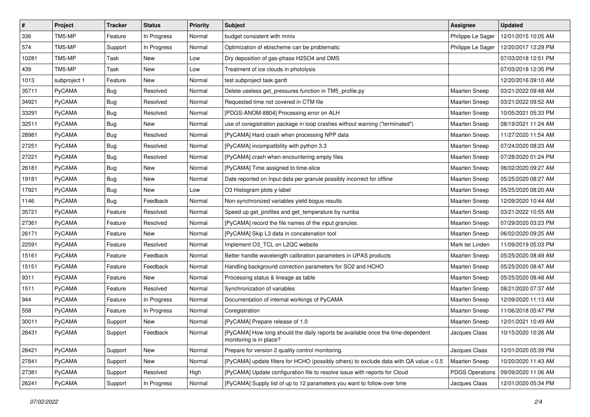| $\vert$ # | Project       | <b>Tracker</b> | <b>Status</b> | <b>Priority</b> | <b>Subject</b>                                                                                             | Assignee               | <b>Updated</b>      |
|-----------|---------------|----------------|---------------|-----------------|------------------------------------------------------------------------------------------------------------|------------------------|---------------------|
| 336       | TM5-MP        | Feature        | In Progress   | Normal          | budget consistent with mmix                                                                                | Philippe Le Sager      | 12/01/2015 10:05 AM |
| 574       | TM5-MP        | Support        | In Progress   | Normal          | Optimization of ebischeme can be problematic                                                               | Philippe Le Sager      | 12/20/2017 12:29 PM |
| 10281     | TM5-MP        | Task           | New           | Low             | Dry deposition of gas-phase H2SO4 and DMS                                                                  |                        | 07/03/2018 12:51 PM |
| 439       | TM5-MP        | Task           | New           | Low             | Treatment of ice clouds in photolysis                                                                      |                        | 07/03/2018 12:35 PM |
| 1013      | subproject 1  | Feature        | <b>New</b>    | Normal          | test subproject task gantt                                                                                 |                        | 12/20/2016 09:10 AM |
| 35711     | PyCAMA        | <b>Bug</b>     | Resolved      | Normal          | Delete useless get_pressures function in TM5_profile.py                                                    | Maarten Sneep          | 03/21/2022 09:48 AM |
| 34921     | PyCAMA        | Bug            | Resolved      | Normal          | Requested time not covered in CTM file                                                                     | Maarten Sneep          | 03/21/2022 09:52 AM |
| 33291     | PyCAMA        | <b>Bug</b>     | Resolved      | Normal          | [PDGS-ANOM-8804] Processing error on ALH                                                                   | <b>Maarten Sneep</b>   | 10/05/2021 05:33 PM |
| 32511     | PyCAMA        | <b>Bug</b>     | New           | Normal          | use of coregistration package in loop crashes without warning ("terminated")                               | <b>Maarten Sneep</b>   | 08/19/2021 11:24 AM |
| 28981     | PyCAMA        | <b>Bug</b>     | Resolved      | Normal          | [PyCAMA] Hard crash when processing NPP data                                                               | Maarten Sneep          | 11/27/2020 11:54 AM |
| 27251     | PyCAMA        | <b>Bug</b>     | Resolved      | Normal          | [PyCAMA] incompatibility with python 3.3                                                                   | <b>Maarten Sneep</b>   | 07/24/2020 08:23 AM |
| 27221     | PyCAMA        | Bug            | Resolved      | Normal          | [PyCAMA] crash when encountering empty files                                                               | <b>Maarten Sneep</b>   | 07/28/2020 01:24 PM |
| 26181     | PyCAMA        | <b>Bug</b>     | New           | Normal          | [PyCAMA] Time assigned to time-slice                                                                       | Maarten Sneep          | 06/02/2020 09:27 AM |
| 19181     | PyCAMA        | <b>Bug</b>     | <b>New</b>    | Normal          | Date reported on Input data per granule possibly incorrect for offline                                     | <b>Maarten Sneep</b>   | 05/25/2020 08:27 AM |
| 17921     | PyCAMA        | Bug            | <b>New</b>    | Low             | O3 Histogram plots y-label                                                                                 | <b>Maarten Sneep</b>   | 05/25/2020 08:20 AM |
| 1146      | PyCAMA        | <b>Bug</b>     | Feedback      | Normal          | Non-synchronized variables yield bogus results                                                             | <b>Maarten Sneep</b>   | 12/09/2020 10:44 AM |
| 35721     | PyCAMA        | Feature        | Resolved      | Normal          | Speed up get_profiles and get_temperature by numba                                                         | Maarten Sneep          | 03/21/2022 10:55 AM |
| 27361     | PyCAMA        | Feature        | Resolved      | Normal          | [PyCAMA] record the file names of the input granules.                                                      | Maarten Sneep          | 07/29/2020 03:23 PM |
| 26171     | PyCAMA        | Feature        | New           | Normal          | [PyCAMA] Skip L3 data in concatenation tool                                                                | Maarten Sneep          | 06/02/2020 09:25 AM |
| 22591     | PyCAMA        | Feature        | Resolved      | Normal          | Implement O3_TCL on L2QC website                                                                           | Mark ter Linden        | 11/09/2019 05:03 PM |
| 15161     | PyCAMA        | Feature        | Feedback      | Normal          | Better handle wavelength calibration parameters in UPAS products                                           | <b>Maarten Sneep</b>   | 05/25/2020 08:49 AM |
| 15151     | PyCAMA        | Feature        | Feedback      | Normal          | Handling background correction parameters for SO2 and HCHO                                                 | <b>Maarten Sneep</b>   | 05/25/2020 08:47 AM |
| 9311      | PyCAMA        | Feature        | <b>New</b>    | Normal          | Processing status & lineage as table                                                                       | Maarten Sneep          | 05/25/2020 08:48 AM |
| 1511      | PyCAMA        | Feature        | Resolved      | Normal          | Synchronization of variables                                                                               | <b>Maarten Sneep</b>   | 08/21/2020 07:37 AM |
| 944       | PyCAMA        | Feature        | In Progress   | Normal          | Documentation of internal workings of PyCAMA                                                               | <b>Maarten Sneep</b>   | 12/09/2020 11:13 AM |
| 558       | <b>PyCAMA</b> | Feature        | In Progress   | Normal          | Coregistration                                                                                             | Maarten Sneep          | 11/06/2018 05:47 PM |
| 30011     | PyCAMA        | Support        | <b>New</b>    | Normal          | [PyCAMA] Prepare release of 1.0                                                                            | Maarten Sneep          | 12/01/2021 10:49 AM |
| 28431     | PyCAMA        | Support        | Feedback      | Normal          | [PyCAMA] How long should the daily reports be available once the time-dependent<br>monitoring is in place? | Jacques Claas          | 10/15/2020 10:26 AM |
| 28421     | PyCAMA        | Support        | New           | Normal          | Prepare for version 2 quality control monitoring.                                                          | Jacques Claas          | 12/01/2020 05:39 PM |
| 27841     | PyCAMA        | Support        | New           | Normal          | [PyCAMA] update filters for HCHO (possibly others) to exclude data with QA value < 0.5                     | Maarten Sneep          | 10/20/2020 11:43 AM |
| 27381     | PyCAMA        | Support        | Resolved      | High            | [PyCAMA] Update configuration file to resolve issue with reports for Cloud                                 | <b>PDGS Operations</b> | 09/09/2020 11:06 AM |
| 26241     | PyCAMA        | Support        | In Progress   | Normal          | [PyCAMA] Supply list of up to 12 parameters you want to follow over time                                   | Jacques Claas          | 12/01/2020 05:34 PM |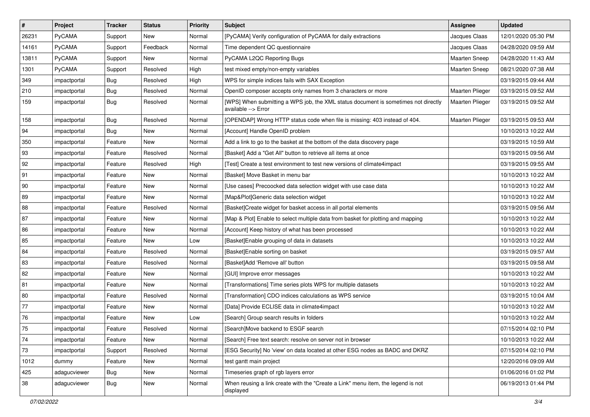| $\sharp$ | Project       | <b>Tracker</b> | <b>Status</b> | Priority | <b>Subject</b>                                                                                            | Assignee             | <b>Updated</b>      |
|----------|---------------|----------------|---------------|----------|-----------------------------------------------------------------------------------------------------------|----------------------|---------------------|
| 26231    | <b>PyCAMA</b> | Support        | New           | Normal   | [PyCAMA] Verify configuration of PyCAMA for daily extractions                                             | Jacques Claas        | 12/01/2020 05:30 PM |
| 14161    | PyCAMA        | Support        | Feedback      | Normal   | Time dependent QC questionnaire                                                                           | Jacques Claas        | 04/28/2020 09:59 AM |
| 13811    | <b>PyCAMA</b> | Support        | New           | Normal   | PyCAMA L2QC Reporting Bugs                                                                                | Maarten Sneep        | 04/28/2020 11:43 AM |
| 1301     | PyCAMA        | Support        | Resolved      | High     | test mixed empty/non-empty variables                                                                      | <b>Maarten Sneep</b> | 08/21/2020 07:38 AM |
| 349      | impactportal  | <b>Bug</b>     | Resolved      | High     | WPS for simple indices fails with SAX Exception                                                           |                      | 03/19/2015 09:44 AM |
| 210      | impactportal  | <b>Bug</b>     | Resolved      | Normal   | OpenID composer accepts only names from 3 characters or more                                              | Maarten Plieger      | 03/19/2015 09:52 AM |
| 159      | impactportal  | <b>Bug</b>     | Resolved      | Normal   | [WPS] When submitting a WPS job, the XML status document is sometimes not directly<br>available --> Error | Maarten Plieger      | 03/19/2015 09:52 AM |
| 158      | impactportal  | <b>Bug</b>     | Resolved      | Normal   | [OPENDAP] Wrong HTTP status code when file is missing: 403 instead of 404.                                | Maarten Plieger      | 03/19/2015 09:53 AM |
| 94       | impactportal  | <b>Bug</b>     | <b>New</b>    | Normal   | [Account] Handle OpenID problem                                                                           |                      | 10/10/2013 10:22 AM |
| 350      | impactportal  | Feature        | New           | Normal   | Add a link to go to the basket at the bottom of the data discovery page                                   |                      | 03/19/2015 10:59 AM |
| 93       | impactportal  | Feature        | Resolved      | Normal   | [Basket] Add a "Get All" button to retrieve all items at once                                             |                      | 03/19/2015 09:56 AM |
| 92       | impactportal  | Feature        | Resolved      | High     | [Test] Create a test environment to test new versions of climate4impact                                   |                      | 03/19/2015 09:55 AM |
| 91       | impactportal  | Feature        | New           | Normal   | [Basket] Move Basket in menu bar                                                                          |                      | 10/10/2013 10:22 AM |
| 90       | impactportal  | Feature        | New           | Normal   | [Use cases] Precoocked data selection widget with use case data                                           |                      | 10/10/2013 10:22 AM |
| 89       | impactportal  | Feature        | New           | Normal   | [Map&Plot]Generic data selection widget                                                                   |                      | 10/10/2013 10:22 AM |
| 88       | impactportal  | Feature        | Resolved      | Normal   | [Basket]Create widget for basket access in all portal elements                                            |                      | 03/19/2015 09:56 AM |
| 87       | impactportal  | Feature        | New           | Normal   | [Map & Plot] Enable to select multiple data from basket for plotting and mapping                          |                      | 10/10/2013 10:22 AM |
| 86       | impactportal  | Feature        | New           | Normal   | [Account] Keep history of what has been processed                                                         |                      | 10/10/2013 10:22 AM |
| 85       | impactportal  | Feature        | New           | Low      | [Basket]Enable grouping of data in datasets                                                               |                      | 10/10/2013 10:22 AM |
| 84       | impactportal  | Feature        | Resolved      | Normal   | [Basket]Enable sorting on basket                                                                          |                      | 03/19/2015 09:57 AM |
| 83       | impactportal  | Feature        | Resolved      | Normal   | [Basket]Add 'Remove all' button                                                                           |                      | 03/19/2015 09:58 AM |
| 82       | impactportal  | Feature        | New           | Normal   | [GUI] Improve error messages                                                                              |                      | 10/10/2013 10:22 AM |
| 81       | impactportal  | Feature        | New           | Normal   | [Transformations] Time series plots WPS for multiple datasets                                             |                      | 10/10/2013 10:22 AM |
| 80       | impactportal  | Feature        | Resolved      | Normal   | [Transformation] CDO indices calculations as WPS service                                                  |                      | 03/19/2015 10:04 AM |
| 77       | impactportal  | Feature        | <b>New</b>    | Normal   | [Data] Provide ECLISE data in climate4impact                                                              |                      | 10/10/2013 10:22 AM |
| 76       | impactportal  | Feature        | New           | Low      | [Search] Group search results in folders                                                                  |                      | 10/10/2013 10:22 AM |
| 75       | impactportal  | Feature        | Resolved      | Normal   | [Search]Move backend to ESGF search                                                                       |                      | 07/15/2014 02:10 PM |
| 74       | impactportal  | Feature        | New           | Normal   | [Search] Free text search: resolve on server not in browser                                               |                      | 10/10/2013 10:22 AM |
| $73\,$   | impactportal  | Support        | Resolved      | Normal   | [ESG Security] No 'view' on data located at other ESG nodes as BADC and DKRZ                              |                      | 07/15/2014 02:10 PM |
| 1012     | dummy         | Feature        | New           | Normal   | test gantt main project                                                                                   |                      | 12/20/2016 09:09 AM |
| 425      | adagucviewer  | <b>Bug</b>     | New           | Normal   | Timeseries graph of rgb layers error                                                                      |                      | 01/06/2016 01:02 PM |
| 38       | adagucviewer  | Bug            | New           | Normal   | When reusing a link create with the "Create a Link" menu item, the legend is not<br>displayed             |                      | 06/19/2013 01:44 PM |